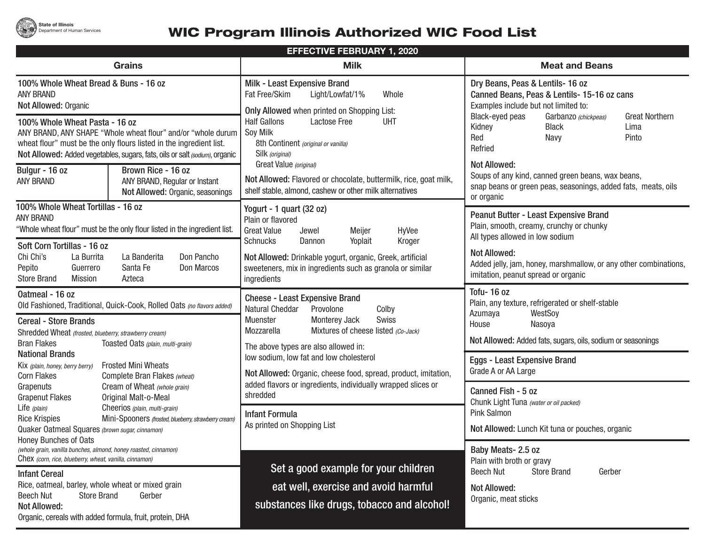## **WIC Program Illinois Authorized WIC Food List**

| <b>EFFECTIVE FEBRUARY 1, 2020</b>                                                                                                                                                                                                                    |                                                                                                                                                                                                                   |                                                                                                                                                                        |  |  |  |
|------------------------------------------------------------------------------------------------------------------------------------------------------------------------------------------------------------------------------------------------------|-------------------------------------------------------------------------------------------------------------------------------------------------------------------------------------------------------------------|------------------------------------------------------------------------------------------------------------------------------------------------------------------------|--|--|--|
| <b>Grains</b>                                                                                                                                                                                                                                        | <b>Milk</b>                                                                                                                                                                                                       | <b>Meat and Beans</b>                                                                                                                                                  |  |  |  |
| 100% Whole Wheat Bread & Buns - 16 oz<br><b>ANY BRAND</b><br>Not Allowed: Organic                                                                                                                                                                    | Milk - Least Expensive Brand<br>Fat Free/Skim<br>Light/Lowfat/1%<br>Whole<br><b>Only Allowed when printed on Shopping List:</b>                                                                                   | Dry Beans, Peas & Lentils- 16 oz<br>Canned Beans, Peas & Lentils- 15-16 oz cans<br>Examples include but not limited to:                                                |  |  |  |
| 100% Whole Wheat Pasta - 16 oz<br>ANY BRAND, ANY SHAPE "Whole wheat flour" and/or "whole durum<br>wheat flour" must be the only flours listed in the ingredient list.<br>Not Allowed: Added vegetables, sugars, fats, oils or salt (sodium), organic | <b>Half Gallons</b><br><b>Lactose Free</b><br><b>UHT</b><br>Soy Milk<br>8th Continent (original or vanilla)<br>Silk (original)                                                                                    | Black-eyed peas<br><b>Great Northern</b><br>Garbanzo (chickpeas)<br>Kidney<br><b>Black</b><br>Lima<br>Red<br>Navy<br>Pinto<br>Refried                                  |  |  |  |
| Brown Rice - 16 oz<br>Bulgur - 16 oz<br><b>ANY BRAND</b><br>ANY BRAND, Regular or Instant<br>Not Allowed: Organic, seasonings                                                                                                                        | Great Value (original)<br>Not Allowed: Flavored or chocolate, buttermilk, rice, goat milk,<br>shelf stable, almond, cashew or other milk alternatives                                                             | <b>Not Allowed:</b><br>Soups of any kind, canned green beans, wax beans,<br>snap beans or green peas, seasonings, added fats, meats, oils<br>or organic                |  |  |  |
| 100% Whole Wheat Tortillas - 16 oz<br><b>ANY BRAND</b><br>"Whole wheat flour" must be the only flour listed in the ingredient list.<br>Soft Corn Tortillas - 16 oz                                                                                   | Yogurt - 1 quart (32 oz)<br>Plain or flavored<br><b>Great Value</b><br>Meijer<br>HyVee<br>Jewel<br>Schnucks<br>Dannon<br>Yoplait<br>Kroger                                                                        | Peanut Butter - Least Expensive Brand<br>Plain, smooth, creamy, crunchy or chunky<br>All types allowed in low sodium                                                   |  |  |  |
| Chi Chi's<br>La Burrita<br>La Banderita<br>Don Pancho<br>Pepito<br>Santa Fe<br>Don Marcos<br>Guerrero<br><b>Store Brand</b><br><b>Mission</b><br>Azteca                                                                                              | Not Allowed: Drinkable yogurt, organic, Greek, artificial<br>sweeteners, mix in ingredients such as granola or similar<br>ingredients                                                                             | <b>Not Allowed:</b><br>Added jelly, jam, honey, marshmallow, or any other combinations,<br>imitation, peanut spread or organic                                         |  |  |  |
| Oatmeal - 16 oz<br>Old Fashioned, Traditional, Quick-Cook, Rolled Oats (no flavors added)<br><b>Cereal - Store Brands</b><br>Shredded Wheat (frosted, blueberry, strawberry cream)<br><b>Bran Flakes</b><br>Toasted Oats (plain, multi-grain)        | <b>Cheese - Least Expensive Brand</b><br>Natural Cheddar<br>Provolone<br>Colby<br>Monterey Jack<br>Swiss<br>Muenster<br>Mozzarella<br>Mixtures of cheese listed (Co-Jack)<br>The above types are also allowed in: | Tofu-16 oz<br>Plain, any texture, refrigerated or shelf-stable<br>Azumaya<br>WestSoy<br>House<br>Nasoya<br>Not Allowed: Added fats, sugars, oils, sodium or seasonings |  |  |  |
| <b>National Brands</b><br><b>Frosted Mini Wheats</b><br>Kix (plain, honey, berry berry)<br><b>Corn Flakes</b><br>Complete Bran Flakes (wheat)                                                                                                        | low sodium, low fat and low cholesterol<br>Not Allowed: Organic, cheese food, spread, product, imitation,                                                                                                         | <b>Eggs - Least Expensive Brand</b><br>Grade A or AA Large                                                                                                             |  |  |  |
| Cream of Wheat (whole grain)<br>Grapenuts<br>Original Malt-o-Meal<br><b>Grapenut Flakes</b><br>Life (plain)<br>Cheerios (plain, multi-grain)<br><b>Rice Krispies</b><br>Mini-Spooners (frosted, blueberry, strawberry cream)                         | added flavors or ingredients, individually wrapped slices or<br>shredded<br><b>Infant Formula</b><br>As printed on Shopping List                                                                                  | Canned Fish - 5 oz<br>Chunk Light Tuna (water or oil packed)<br>Pink Salmon<br>Not Allowed: Lunch Kit tuna or pouches, organic                                         |  |  |  |
| Quaker Oatmeal Squares (brown sugar, cinnamon)<br>Honey Bunches of Oats<br>(whole grain, vanilla bunches, almond, honey roasted, cinnamon)<br>Chex (corn, rice, blueberry, wheat, vanilla, cinnamon)                                                 |                                                                                                                                                                                                                   | Baby Meats- 2.5 oz<br>Plain with broth or gravy                                                                                                                        |  |  |  |
| <b>Infant Cereal</b>                                                                                                                                                                                                                                 | Set a good example for your children                                                                                                                                                                              | <b>Store Brand</b><br><b>Beech Nut</b><br>Gerber                                                                                                                       |  |  |  |
| Rice, oatmeal, barley, whole wheat or mixed grain<br><b>Store Brand</b><br>Gerber<br><b>Beech Nut</b><br><b>Not Allowed:</b><br>Organic, cereals with added formula, fruit, protein, DHA                                                             | eat well, exercise and avoid harmful<br>substances like drugs, tobacco and alcohol!                                                                                                                               | <b>Not Allowed:</b><br>Organic, meat sticks                                                                                                                            |  |  |  |